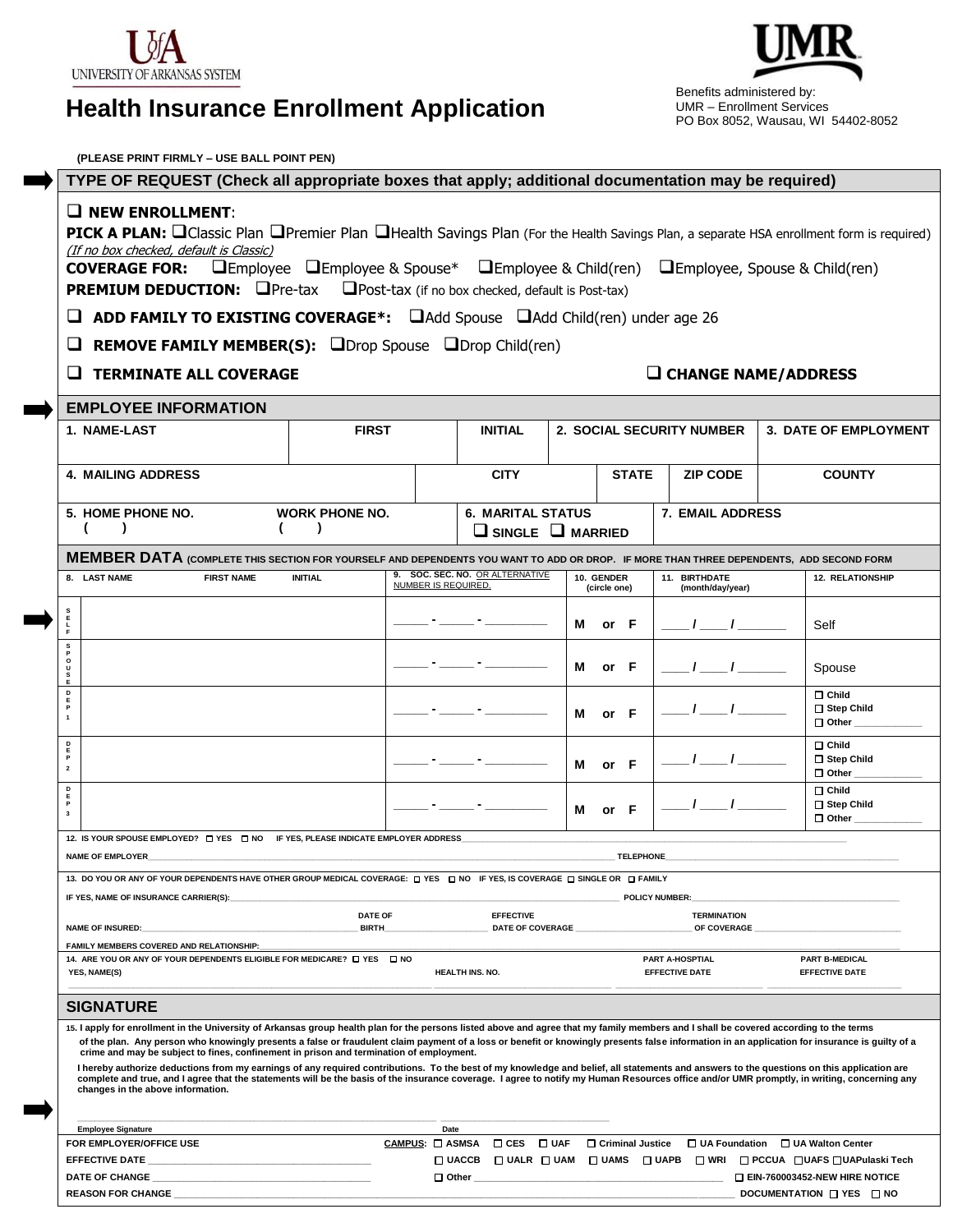

# **Health Insurance Enrollment Application**

 Benefits administered by: UMR – Enrollment Services PO Box 8052, Wausau, WI 54402-8052

| (PLEASE PRINT FIRMLY - USE BALL POINT PEN)                                                                                                                                                                                                                                                                                                                                                                                                                                                                                                                                                                                                                                                                                                                                                                                                                                      |                                                                             |                              |                                 |                                                     |                            |                                   |                                                                  |  |
|---------------------------------------------------------------------------------------------------------------------------------------------------------------------------------------------------------------------------------------------------------------------------------------------------------------------------------------------------------------------------------------------------------------------------------------------------------------------------------------------------------------------------------------------------------------------------------------------------------------------------------------------------------------------------------------------------------------------------------------------------------------------------------------------------------------------------------------------------------------------------------|-----------------------------------------------------------------------------|------------------------------|---------------------------------|-----------------------------------------------------|----------------------------|-----------------------------------|------------------------------------------------------------------|--|
| TYPE OF REQUEST (Check all appropriate boxes that apply; additional documentation may be required)                                                                                                                                                                                                                                                                                                                                                                                                                                                                                                                                                                                                                                                                                                                                                                              |                                                                             |                              |                                 |                                                     |                            |                                   |                                                                  |  |
| $\Box$ NEW ENROLLMENT:                                                                                                                                                                                                                                                                                                                                                                                                                                                                                                                                                                                                                                                                                                                                                                                                                                                          |                                                                             |                              |                                 |                                                     |                            |                                   |                                                                  |  |
| PICK A PLAN: QClassic Plan OPremier Plan OHealth Savings Plan (For the Health Savings Plan, a separate HSA enrollment form is required)<br>(If no box checked, default is Classic)                                                                                                                                                                                                                                                                                                                                                                                                                                                                                                                                                                                                                                                                                              |                                                                             |                              |                                 |                                                     |                            |                                   |                                                                  |  |
| $\Box$ Employee $\Box$ Employee & Spouse* $\Box$ Employee & Child(ren) $\Box$ Employee, Spouse & Child(ren)<br><b>COVERAGE FOR:</b>                                                                                                                                                                                                                                                                                                                                                                                                                                                                                                                                                                                                                                                                                                                                             |                                                                             |                              |                                 |                                                     |                            |                                   |                                                                  |  |
| <b>PREMIUM DEDUCTION: OPre-tax</b><br>Post-tax (if no box checked, default is Post-tax)                                                                                                                                                                                                                                                                                                                                                                                                                                                                                                                                                                                                                                                                                                                                                                                         |                                                                             |                              |                                 |                                                     |                            |                                   |                                                                  |  |
| <b>ADD FAMILY TO EXISTING COVERAGE*:</b> $\Box$ Add Spouse $\Box$ Add Child(ren) under age 26                                                                                                                                                                                                                                                                                                                                                                                                                                                                                                                                                                                                                                                                                                                                                                                   |                                                                             |                              |                                 |                                                     |                            |                                   |                                                                  |  |
| <b>REMOVE FAMILY MEMBER(S):</b> ODrop Spouse ODrop Child(ren)<br><b>TERMINATE ALL COVERAGE</b><br>$\Box$ CHANGE NAME/ADDRESS                                                                                                                                                                                                                                                                                                                                                                                                                                                                                                                                                                                                                                                                                                                                                    |                                                                             |                              |                                 |                                                     |                            |                                   |                                                                  |  |
|                                                                                                                                                                                                                                                                                                                                                                                                                                                                                                                                                                                                                                                                                                                                                                                                                                                                                 |                                                                             |                              |                                 |                                                     |                            |                                   |                                                                  |  |
| <b>EMPLOYEE INFORMATION</b>                                                                                                                                                                                                                                                                                                                                                                                                                                                                                                                                                                                                                                                                                                                                                                                                                                                     |                                                                             |                              |                                 |                                                     |                            |                                   |                                                                  |  |
| 1. NAME-LAST                                                                                                                                                                                                                                                                                                                                                                                                                                                                                                                                                                                                                                                                                                                                                                                                                                                                    | <b>FIRST</b>                                                                |                              | <b>INITIAL</b>                  | 2. SOCIAL SECURITY NUMBER                           |                            |                                   | 3. DATE OF EMPLOYMENT                                            |  |
| <b>4. MAILING ADDRESS</b>                                                                                                                                                                                                                                                                                                                                                                                                                                                                                                                                                                                                                                                                                                                                                                                                                                                       |                                                                             |                              | <b>CITY</b>                     |                                                     | <b>STATE</b>               | <b>ZIP CODE</b>                   | <b>COUNTY</b>                                                    |  |
| 5. HOME PHONE NO.                                                                                                                                                                                                                                                                                                                                                                                                                                                                                                                                                                                                                                                                                                                                                                                                                                                               | <b>WORK PHONE NO.</b>                                                       |                              |                                 | <b>6. MARITAL STATUS</b><br><b>7. EMAIL ADDRESS</b> |                            |                                   |                                                                  |  |
| $\lambda$                                                                                                                                                                                                                                                                                                                                                                                                                                                                                                                                                                                                                                                                                                                                                                                                                                                                       | $\lambda$                                                                   | $\Box$ SINGLE $\Box$ MARRIED |                                 |                                                     |                            |                                   |                                                                  |  |
| MEMBER DATA (COMPLETE THIS SECTION FOR YOURSELF AND DEPENDENTS YOU WANT TO ADD OR DROP. IF MORE THAN THREE DEPENDENTS, ADD SECOND FORM                                                                                                                                                                                                                                                                                                                                                                                                                                                                                                                                                                                                                                                                                                                                          |                                                                             |                              |                                 |                                                     |                            |                                   |                                                                  |  |
| 8. LAST NAME<br><b>FIRST NAME</b>                                                                                                                                                                                                                                                                                                                                                                                                                                                                                                                                                                                                                                                                                                                                                                                                                                               | <b>INITIAL</b>                                                              | NUMBER IS REQUIRED.          | 9. SOC. SEC. NO. OR ALTERNATIVE |                                                     | 10. GENDER<br>(circle one) | 11. BIRTHDATE<br>(month/day/year) | 12. RELATIONSHIP                                                 |  |
| $_{\rm E}^{\rm S}$<br>$\frac{L}{F}$                                                                                                                                                                                                                                                                                                                                                                                                                                                                                                                                                                                                                                                                                                                                                                                                                                             |                                                                             |                              |                                 | М                                                   | or F                       |                                   | Self                                                             |  |
| s<br>P<br>o<br>o                                                                                                                                                                                                                                                                                                                                                                                                                                                                                                                                                                                                                                                                                                                                                                                                                                                                |                                                                             |                              |                                 | м                                                   | or F                       |                                   | Spouse                                                           |  |
| E<br>D<br>Е                                                                                                                                                                                                                                                                                                                                                                                                                                                                                                                                                                                                                                                                                                                                                                                                                                                                     |                                                                             |                              |                                 |                                                     |                            |                                   | $\Box$ Child                                                     |  |
| $\overline{1}$                                                                                                                                                                                                                                                                                                                                                                                                                                                                                                                                                                                                                                                                                                                                                                                                                                                                  |                                                                             |                              |                                 | М                                                   | or F                       |                                   | □ Step Child<br>$\Box$ Other                                     |  |
| D<br>Е<br>P<br>$\overline{\mathbf{2}}$                                                                                                                                                                                                                                                                                                                                                                                                                                                                                                                                                                                                                                                                                                                                                                                                                                          |                                                                             |                              |                                 | м                                                   | $or$ F                     |                                   | $\Box$ Child<br>□ Step Child<br>$\Box$ Other                     |  |
| $_{\rm E}^{\rm D}$<br>P<br>$\overline{\mathbf{3}}$                                                                                                                                                                                                                                                                                                                                                                                                                                                                                                                                                                                                                                                                                                                                                                                                                              |                                                                             |                              |                                 | м                                                   | or $F$                     |                                   | $\Box$ Child<br>□ Step Child<br>$\Box$ Other                     |  |
| 12. IS YOUR SPOUSE EMPLOYED? $\Box$ YES $\Box$ NO IF YES, PLEASE INDICATE EMPLOYER ADDRESS                                                                                                                                                                                                                                                                                                                                                                                                                                                                                                                                                                                                                                                                                                                                                                                      |                                                                             |                              |                                 |                                                     |                            |                                   |                                                                  |  |
| <b>NAME OF EMPLOYER</b><br><b>TELEPHONE</b>                                                                                                                                                                                                                                                                                                                                                                                                                                                                                                                                                                                                                                                                                                                                                                                                                                     |                                                                             |                              |                                 |                                                     |                            |                                   |                                                                  |  |
| 13. DO YOU OR ANY OF YOUR DEPENDENTS HAVE OTHER GROUP MEDICAL COVERAGE: [ ] YES [ ] NO IF YES, IS COVERAGE [ ] SINGLE OR [ ] FAMILY<br>IF YES, NAME OF INSURANCE CARRIER(S):<br><b>POLICY NUMBER:</b>                                                                                                                                                                                                                                                                                                                                                                                                                                                                                                                                                                                                                                                                           |                                                                             |                              |                                 |                                                     |                            |                                   |                                                                  |  |
| NAME OF INSURED:                                                                                                                                                                                                                                                                                                                                                                                                                                                                                                                                                                                                                                                                                                                                                                                                                                                                | <b>DATE OF</b><br>BIRTH_                                                    |                              |                                 | <b>EFFECTIVE</b><br><b>DATE OF COVERAGE</b>         |                            |                                   | <b>TERMINATION</b><br>OF COVERAGE                                |  |
| FAMILY MEMBERS COVERED AND RELATIONSHIP:                                                                                                                                                                                                                                                                                                                                                                                                                                                                                                                                                                                                                                                                                                                                                                                                                                        |                                                                             |                              |                                 |                                                     |                            | PART A-HOSPTIAL                   |                                                                  |  |
| YES, NAME(S)                                                                                                                                                                                                                                                                                                                                                                                                                                                                                                                                                                                                                                                                                                                                                                                                                                                                    | 14. ARE YOU OR ANY OF YOUR DEPENDENTS ELIGIBLE FOR MEDICARE? [ ] YES [ ] NO |                              |                                 | <b>EFFECTIVE DATE</b><br>HEALTH INS. NO.            |                            |                                   | <b>PART B-MEDICAL</b><br><b>EFFECTIVE DATE</b>                   |  |
| <b>SIGNATURE</b>                                                                                                                                                                                                                                                                                                                                                                                                                                                                                                                                                                                                                                                                                                                                                                                                                                                                |                                                                             |                              |                                 |                                                     |                            |                                   |                                                                  |  |
| 15. I apply for enrollment in the University of Arkansas group health plan for the persons listed above and agree that my family members and I shall be covered according to the terms<br>of the plan. Any person who knowingly presents a false or fraudulent claim payment of a loss or benefit or knowingly presents false information in an application for insurance is guilty of a<br>crime and may be subject to fines, confinement in prison and termination of employment.<br>I hereby authorize deductions from my earnings of any required contributions. To the best of my knowledge and belief, all statements and answers to the questions on this application are<br>complete and true, and I agree that the statements will be the basis of the insurance coverage. I agree to notify my Human Resources office and/or UMR promptly, in writing, concerning any |                                                                             |                              |                                 |                                                     |                            |                                   |                                                                  |  |
| changes in the above information.                                                                                                                                                                                                                                                                                                                                                                                                                                                                                                                                                                                                                                                                                                                                                                                                                                               |                                                                             |                              |                                 |                                                     |                            |                                   |                                                                  |  |
| <b>Employee Signature</b>                                                                                                                                                                                                                                                                                                                                                                                                                                                                                                                                                                                                                                                                                                                                                                                                                                                       |                                                                             | Date                         |                                 |                                                     |                            |                                   |                                                                  |  |
| FOR EMPLOYER/OFFICE USE                                                                                                                                                                                                                                                                                                                                                                                                                                                                                                                                                                                                                                                                                                                                                                                                                                                         |                                                                             | CAMPUS: □ ASMSA              | $\Box$ CES                      | $\square$ UAF                                       |                            |                                   | □ Criminal Justice □ UA Foundation □ UA Walton Center            |  |
| EFFECTIVE DATE _<br><b>DATE OF CHANGE</b>                                                                                                                                                                                                                                                                                                                                                                                                                                                                                                                                                                                                                                                                                                                                                                                                                                       |                                                                             |                              | $\square$ UACCB                 |                                                     |                            |                                   | □ UALR □ UAM □ UAMS □ UAPB □ WRI □ PCCUA □ UAFS □ UAPulaski Tech |  |
| the control of the control of the control of the control of the control of the control of<br><b>REASON FOR CHANGE</b>                                                                                                                                                                                                                                                                                                                                                                                                                                                                                                                                                                                                                                                                                                                                                           |                                                                             |                              | $\square$ Other $\square$       |                                                     |                            |                                   | $\Box$ EIN-760003452-NEW HIRE NOTICE<br>DOCUMENTATION ON YES ONO |  |